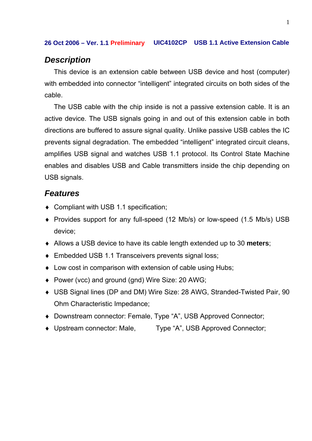### *Description*

This device is an extension cable between USB device and host (computer) with embedded into connector "intelligent" integrated circuits on both sides of the cable.

The USB cable with the chip inside is not a passive extension cable. It is an active device. The USB signals going in and out of this extension cable in both directions are buffered to assure signal quality. Unlike passive USB cables the IC prevents signal degradation. The embedded "intelligent" integrated circuit cleans, amplifies USB signal and watches USB 1.1 protocol. Its Control State Machine enables and disables USB and Cable transmitters inside the chip depending on USB signals.

### *Features*

- ♦ Compliant with USB 1.1 specification;
- ♦ Provides support for any full-speed (12 Mb/s) or low-speed (1.5 Mb/s) USB device;
- ♦ Allows a USB device to have its cable length extended up to 30 **meters**;
- ♦ Embedded USB 1.1 Transceivers prevents signal loss;
- ♦ Low cost in comparison with extension of cable using Hubs;
- ♦ Power (vcc) and ground (gnd) Wire Size: 20 AWG;
- ♦ USB Signal lines (DP and DM) Wire Size: 28 AWG, Stranded-Twisted Pair, 90 Ohm Characteristic Impedance;
- ♦ Downstream connector: Female, Type "A", USB Approved Connector;
- ♦ Upstream connector: Male, Type "A", USB Approved Connector;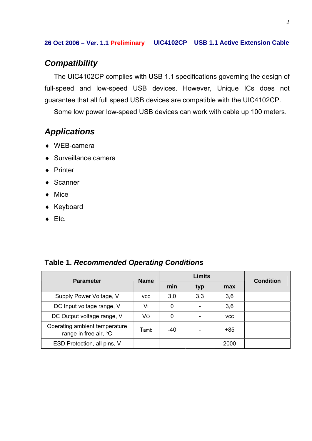## *Compatibility*

The UIC4102CP complies with USB 1.1 specifications governing the design of full-speed and low-speed USB devices. However, Unique ICs does not guarantee that all full speed USB devices are compatible with the UIC4102CP.

Some low power low-speed USB devices can work with cable up 100 meters.

# *Applications*

- ♦ WEB-camera
- ♦ Surveillance camera
- ♦ Printer
- ♦ Scanner
- ♦ Mice
- ♦ Keyboard
- $\triangleleft$  Etc.

### **Table 1.** *Recommended Operating Conditions*

| <b>Parameter</b>                                       | <b>Name</b> | <b>Limits</b> |     |            | <b>Condition</b> |
|--------------------------------------------------------|-------------|---------------|-----|------------|------------------|
|                                                        |             | min           | typ | max        |                  |
| Supply Power Voltage, V                                | <b>VCC</b>  | 3,0           | 3,3 | 3,6        |                  |
| DC Input voltage range, V                              | V١          | 0             |     | 3,6        |                  |
| DC Output voltage range, V                             | Vo          | 0             |     | <b>VCC</b> |                  |
| Operating ambient temperature<br>range in free air, °C | Tamb        | -40           |     | $+85$      |                  |
| ESD Protection, all pins, V                            |             |               |     | 2000       |                  |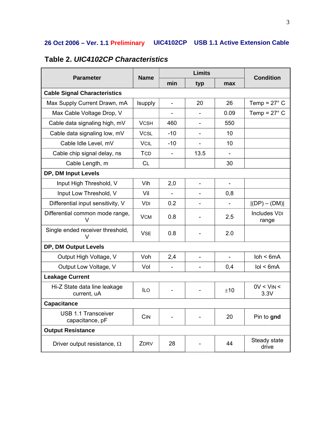| <b>Parameter</b>                              | <b>Name</b>    | <b>Limits</b>            |                          |                          | <b>Condition</b>              |  |  |  |
|-----------------------------------------------|----------------|--------------------------|--------------------------|--------------------------|-------------------------------|--|--|--|
|                                               |                | min                      | typ                      | max                      |                               |  |  |  |
| <b>Cable Signal Characteristics</b>           |                |                          |                          |                          |                               |  |  |  |
| Max Supply Current Drawn, mA                  | <b>Isupply</b> | $\overline{\phantom{a}}$ | 20                       | 26                       | Temp = $27^\circ$ C           |  |  |  |
| Max Cable Voltage Drop, V                     |                | $\overline{\phantom{a}}$ | $\overline{\phantom{0}}$ | 0.09                     | Temp = $27^\circ$ C           |  |  |  |
| Cable data signaling high, mV                 | <b>VCSH</b>    | 460                      |                          | 550                      |                               |  |  |  |
| Cable data signaling low, mV                  | <b>VCSL</b>    | $-10$                    |                          | 10                       |                               |  |  |  |
| Cable Idle Level, mV                          | <b>VCIL</b>    | $-10$                    |                          | 10                       |                               |  |  |  |
| Cable chip signal delay, ns                   | <b>TCD</b>     |                          | 13.5                     |                          |                               |  |  |  |
| Cable Length, m                               | CL             |                          |                          | 30                       |                               |  |  |  |
| DP, DM Input Levels                           |                |                          |                          |                          |                               |  |  |  |
| Input High Threshold, V                       | Vih            | 2,0                      | L,                       | $\overline{\phantom{a}}$ |                               |  |  |  |
| Input Low Threshold, V                        | Vil            |                          |                          | 0,8                      |                               |  |  |  |
| Differential input sensitivity, V             | VDI            | 0.2                      |                          |                          | $ (DP) - (DM) $               |  |  |  |
| Differential common mode range,<br>V          | <b>VCM</b>     | 0.8                      |                          | 2.5                      | <b>Includes VDI</b><br>range  |  |  |  |
| Single ended receiver threshold,<br>V         | <b>VSE</b>     | 0.8                      |                          | 2.0                      |                               |  |  |  |
| DP, DM Output Levels                          |                |                          |                          |                          |                               |  |  |  |
| Output High Voltage, V                        | Voh            | 2,4                      | ÷                        |                          | $\mathsf{loh} < \mathsf{6mA}$ |  |  |  |
| Output Low Voltage, V                         | Vol            |                          |                          | 0,4                      | IoI < 6mA                     |  |  |  |
| <b>Leakage Current</b>                        |                |                          |                          |                          |                               |  |  |  |
| Hi-Z State data line leakage<br>current, uA   | <b>ILO</b>     |                          |                          | ±10                      | $0V < V$ IN <<br>3.3V         |  |  |  |
| <b>Capacitance</b>                            |                |                          |                          |                          |                               |  |  |  |
| <b>USB 1.1 Transceiver</b><br>capacitance, pF | CIN            |                          |                          | 20                       | Pin to gnd                    |  |  |  |
| <b>Output Resistance</b>                      |                |                          |                          |                          |                               |  |  |  |
| Driver output resistance, $\Omega$            | ZDRV           | 28                       |                          | 44                       | Steady state<br>drive         |  |  |  |

# **Table 2.** *UIC4102CP Characteristics*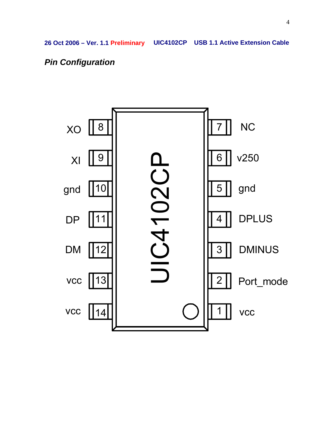# *Pin Configuration*

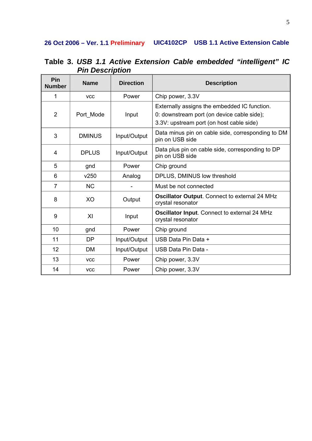| Pin<br><b>Number</b> | <b>Name</b>   | <b>Direction</b>                                                                     | <b>Description</b>                                                                                                                     |  |  |
|----------------------|---------------|--------------------------------------------------------------------------------------|----------------------------------------------------------------------------------------------------------------------------------------|--|--|
| 1                    | <b>VCC</b>    | Power                                                                                | Chip power, 3.3V                                                                                                                       |  |  |
| $\overline{2}$       | Port Mode     | Input                                                                                | Externally assigns the embedded IC function.<br>0: downstream port (on device cable side);<br>3.3V: upstream port (on host cable side) |  |  |
| 3                    | <b>DMINUS</b> | Data minus pin on cable side, corresponding to DM<br>Input/Output<br>pin on USB side |                                                                                                                                        |  |  |
| 4                    | <b>DPLUS</b>  | Input/Output                                                                         | Data plus pin on cable side, corresponding to DP<br>pin on USB side                                                                    |  |  |
| 5                    | gnd           | Power                                                                                | Chip ground                                                                                                                            |  |  |
| 6                    | v250          | Analog                                                                               | DPLUS, DMINUS low threshold                                                                                                            |  |  |
| $\overline{7}$       | <b>NC</b>     |                                                                                      | Must be not connected                                                                                                                  |  |  |
| 8                    | XO            | Output                                                                               | Oscillator Output. Connect to external 24 MHz<br>crystal resonator                                                                     |  |  |
| 9                    | XI            | Input                                                                                | Oscillator Input. Connect to external 24 MHz<br>crystal resonator                                                                      |  |  |
| 10                   | gnd           | Power                                                                                | Chip ground                                                                                                                            |  |  |
| 11                   | <b>DP</b>     | Input/Output                                                                         | USB Data Pin Data +                                                                                                                    |  |  |
| 12                   | <b>DM</b>     | Input/Output                                                                         | USB Data Pin Data -                                                                                                                    |  |  |
| 13                   | <b>VCC</b>    | Power                                                                                | Chip power, 3.3V                                                                                                                       |  |  |
| 14                   | <b>VCC</b>    | Power                                                                                | Chip power, 3.3V                                                                                                                       |  |  |

**Table 3.** *USB 1.1 Active Extension Cable embedded "intelligent" IC Pin Description*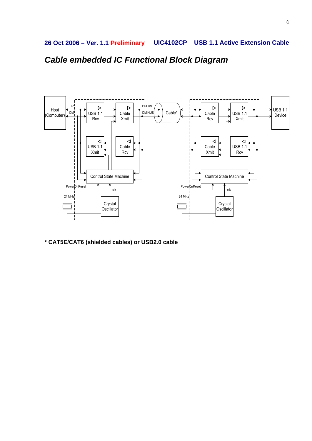*Cable embedded IC Functional Block Diagram* 



**\* CAT5E/CAT6 (shielded cables) or USB2.0 cable**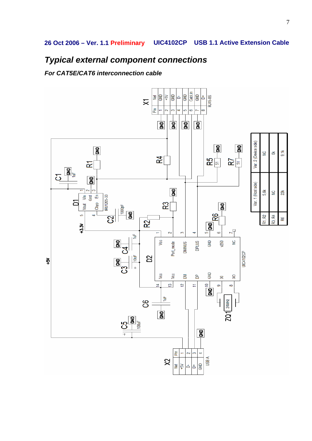# *Typical external component connections*

*For CAT5E/CAT6 interconnection cable*